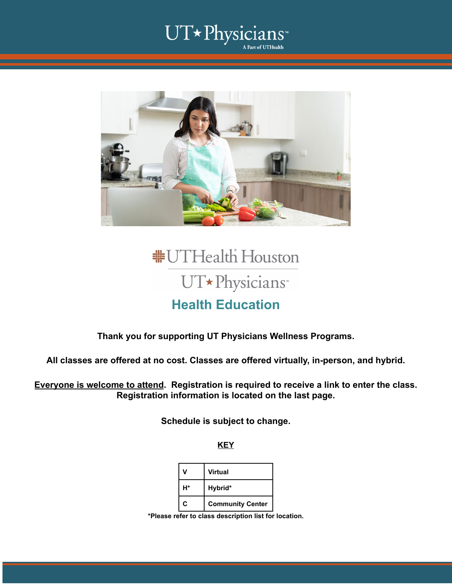### UT\* Physicians A Part of UTHealth



## **#UTHealth Houston** UT\*Physicians **Health Education**

### **Thank you for supporting UT Physicians Wellness Programs.**

**All classes are offered at no cost. Classes are offered virtually, in-person, and hybrid.**

**Everyone is welcome to attend. Registration is required to receive a link to enter the class. Registration information is located on the last page.**

**Schedule is subject to change.**

**KEY**

|    | <b>Virtual</b>          |
|----|-------------------------|
| H* | Hybrid*                 |
| C  | <b>Community Center</b> |

**\*Please refer to class description list for location.**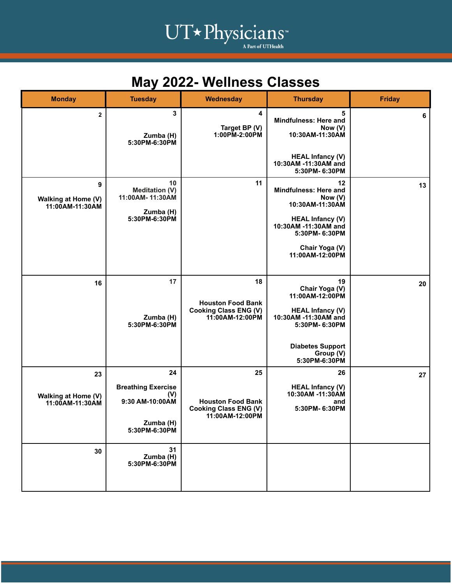## UT\*Physicians

## **May 2022- Wellness Classes**

| <b>Monday</b>                                       | <b>Tuesday</b>                                                                          | Wednesday                                                                         | <b>Thursday</b>                                                                                                                                                      | <b>Friday</b> |
|-----------------------------------------------------|-----------------------------------------------------------------------------------------|-----------------------------------------------------------------------------------|----------------------------------------------------------------------------------------------------------------------------------------------------------------------|---------------|
| $\mathbf{2}$                                        | $\mathbf{3}$<br>Zumba (H)<br>5:30PM-6:30PM                                              | 4<br>Target BP (V)<br>1:00PM-2:00PM                                               | 5<br><b>Mindfulness: Here and</b><br>Now (V)<br>10:30AM-11:30AM                                                                                                      | 6             |
|                                                     |                                                                                         |                                                                                   | <b>HEAL Infancy (V)</b><br>10:30AM -11:30AM and<br>5:30PM-6:30PM                                                                                                     |               |
| 9<br>Walking at Home (V)<br>11:00AM-11:30AM         | 10<br><b>Meditation (V)</b><br>11:00AM-11:30AM<br>Zumba (H)<br>5:30PM-6:30PM            | 11                                                                                | 12<br>Mindfulness: Here and<br>Now (V)<br>10:30AM-11:30AM<br><b>HEAL Infancy (V)</b><br>10:30AM -11:30AM and<br>5:30PM-6:30PM<br>Chair Yoga (V)<br>11:00AM-12:00PM   | 13            |
| 16                                                  | 17<br>Zumba (H)<br>5:30PM-6:30PM                                                        | 18<br><b>Houston Food Bank</b><br><b>Cooking Class ENG (V)</b><br>11:00AM-12:00PM | 19<br>Chair Yoga (V)<br>11:00AM-12:00PM<br><b>HEAL Infancy (V)</b><br>10:30AM -11:30AM and<br>5:30PM-6:30PM<br><b>Diabetes Support</b><br>Group (V)<br>5:30PM-6:30PM | 20            |
| 23<br><b>Walking at Home (V)</b><br>11:00AM-11:30AM | 24<br><b>Breathing Exercise</b><br>(V)<br>9:30 AM-10:00AM<br>Zumba (H)<br>5:30PM-6:30PM | 25<br><b>Houston Food Bank</b><br><b>Cooking Class ENG (V)</b><br>11:00AM-12:00PM | 26<br><b>HEAL Infancy (V)</b><br>10:30AM -11:30AM<br>and<br>5:30PM-6:30PM                                                                                            | 27            |
| 30                                                  | 31<br>Zumba (H)<br>5:30PM-6:30PM                                                        |                                                                                   |                                                                                                                                                                      |               |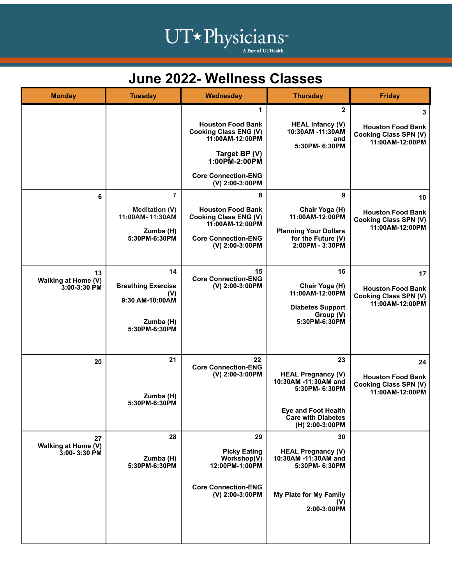# UT\*Physicians

### **June 2022- Wellness Classes**

| <b>Monday</b>                                    | <b>Tuesday</b>                                                                           | <b>Wednesday</b>                                                                                                                                     | <b>Thursday</b>                                                                                                                                        | <b>Friday</b>                                                                     |
|--------------------------------------------------|------------------------------------------------------------------------------------------|------------------------------------------------------------------------------------------------------------------------------------------------------|--------------------------------------------------------------------------------------------------------------------------------------------------------|-----------------------------------------------------------------------------------|
|                                                  |                                                                                          | 1<br><b>Houston Food Bank</b><br><b>Cooking Class ENG (V)</b><br>11:00AM-12:00PM<br>Target BP (V)<br>1:00PM-2:00PM<br><b>Core Connection-ENG</b>     | $\overline{2}$<br><b>HEAL Infancy (V)</b><br>10:30AM -11:30AM<br>and<br>5:30PM-6:30PM                                                                  | 3<br><b>Houston Food Bank</b><br>Cooking Class SPN (V)<br>11:00AM-12:00PM         |
| 6                                                | $\overline{7}$<br><b>Meditation (V)</b><br>11:00AM-11:30AM<br>Zumba (H)<br>5:30PM-6:30PM | (V) 2:00-3:00PM<br>8<br><b>Houston Food Bank</b><br><b>Cooking Class ENG (V)</b><br>11:00AM-12:00PM<br><b>Core Connection-ENG</b><br>(V) 2:00-3:00PM | 9<br>Chair Yoga (H)<br>11:00AM-12:00PM<br><b>Planning Your Dollars</b><br>for the Future (V)<br>2:00PM - 3:30PM                                        | 10<br><b>Houston Food Bank</b><br><b>Cooking Class SPN (V)</b><br>11:00AM-12:00PM |
| 13<br><b>Walking at Home (V)</b><br>3:00-3:30 PM | 14<br><b>Breathing Exercise</b><br>(V)<br>9:30 AM-10:00AM<br>Zumba (H)<br>5:30PM-6:30PM  | 15<br><b>Core Connection-ENG</b><br>(V) 2:00-3:00PM                                                                                                  | 16<br>Chair Yoga (H)<br>11:00AM-12:00PM<br><b>Diabetes Support</b><br>Group (V)<br>5:30PM-6:30PM                                                       | 17<br><b>Houston Food Bank</b><br>Cooking Class SPN (V)<br>11:00AM-12:00PM        |
| 20                                               | 21<br>Zumba (H)<br>5:30PM-6:30PM                                                         | 22<br><b>Core Connection-ENG</b><br>(V) 2:00-3:00PM                                                                                                  | 23<br><b>HEAL Pregnancy (V)</b><br>10:30AM -11:30AM and<br>5:30PM-6:30PM<br><b>Eye and Foot Health</b><br><b>Care with Diabetes</b><br>(H) 2:00-3:00PM | 24<br><b>Houston Food Bank</b><br><b>Cooking Class SPN (V)</b><br>11:00AM-12:00PM |
| 27<br>Walking at Home (V)<br>3:00-3:30 PM        | 28<br>Zumba (H)<br>5:30PM-6:30PM                                                         | 29<br><b>Picky Eating</b><br>Workshop(V)<br>12:00PM-1:00PM<br><b>Core Connection-ENG</b><br>(V) 2:00-3:00PM                                          | 30<br><b>HEAL Pregnancy (V)</b><br>10:30AM -11:30AM and<br>5:30PM-6:30PM<br>My Plate for My Family<br>(V)<br>2:00-3:00PM                               |                                                                                   |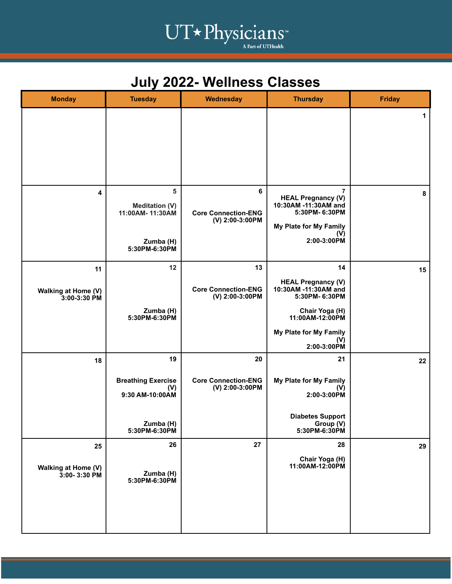# UT\*Physicians

## **July 2022- Wellness Classes**

| <b>Monday</b>                             | <b>Tuesday</b>                                                              | <b>Wednesday</b>                                   | <b>Thursday</b>                                                                                                                      | <b>Friday</b> |
|-------------------------------------------|-----------------------------------------------------------------------------|----------------------------------------------------|--------------------------------------------------------------------------------------------------------------------------------------|---------------|
|                                           |                                                                             |                                                    |                                                                                                                                      | 1             |
| 4                                         | 5<br><b>Meditation (V)</b><br>11:00AM-11:30AM<br>Zumba (H)<br>5:30PM-6:30PM | 6<br><b>Core Connection-ENG</b><br>(V) 2:00-3:00PM | $\overline{7}$<br><b>HEAL Pregnancy (V)</b><br>10:30AM -11:30AM and<br>5:30PM-6:30PM<br>My Plate for My Family<br>(V)<br>2:00-3:00PM | 8             |
| 11                                        | 12                                                                          | 13                                                 | 14                                                                                                                                   | 15            |
| Walking at Home (V)<br>3:00-3:30 PM       |                                                                             | <b>Core Connection-ENG</b><br>(V) 2:00-3:00PM      | <b>HEAL Pregnancy (V)</b><br>10:30AM -11:30AM and<br>5:30PM- 6:30PM                                                                  |               |
|                                           | Zumba (H)<br>5:30PM-6:30PM                                                  |                                                    | Chair Yoga (H)<br>11:00AM-12:00PM                                                                                                    |               |
|                                           |                                                                             |                                                    | <b>My Plate for My Family</b><br>(V)<br>2:00-3:00PM                                                                                  |               |
| 18                                        | 19                                                                          | 20                                                 | 21                                                                                                                                   | 22            |
|                                           | <b>Breathing Exercise</b><br>(V)<br>9:30 AM-10:00AM                         | <b>Core Connection-ENG</b><br>(V) 2:00-3:00PM      | My Plate for My Family<br>(V)<br>2:00-3:00PM                                                                                         |               |
|                                           | Zumba (H)<br>5:30PM-6:30PM                                                  |                                                    | <b>Diabetes Support</b><br>Group (V)<br>5:30PM-6:30PM                                                                                |               |
| 25<br>Walking at Home (V)<br>3:00-3:30 PM | 26<br>Zumba (H)<br>5:30PM-6:30PM                                            | 27                                                 | 28<br>Chair Yoga (H)<br>11:00AM-12:00PM                                                                                              | 29            |
|                                           |                                                                             |                                                    |                                                                                                                                      |               |